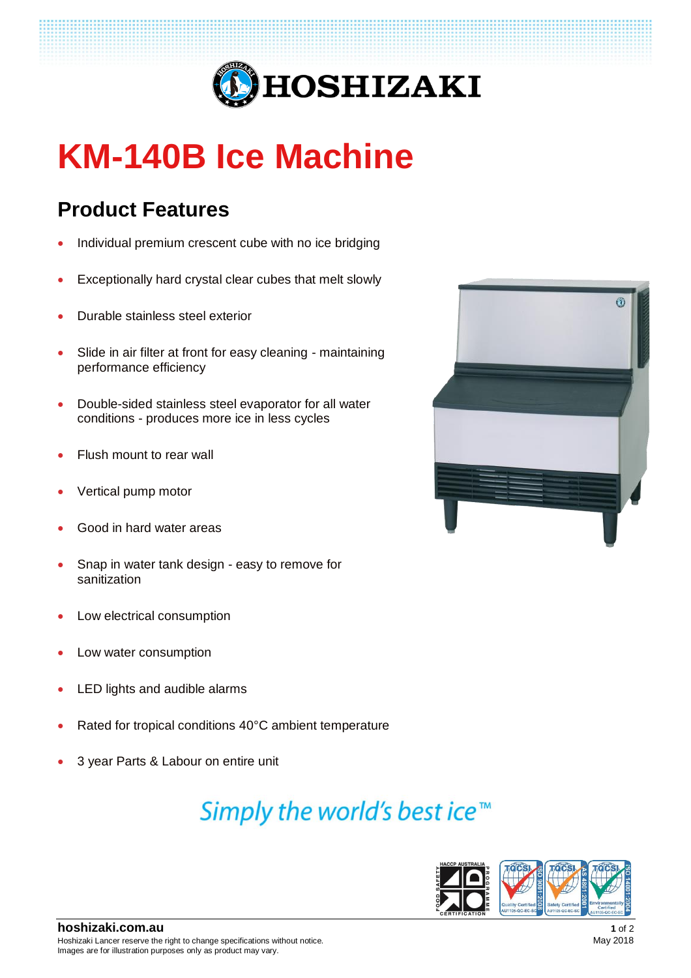

# **KM-140B Ice Machine**

### **Product Features**

- Individual premium crescent cube with no ice bridging
- Exceptionally hard crystal clear cubes that melt slowly
- Durable stainless steel exterior
- Slide in air filter at front for easy cleaning maintaining performance efficiency
- Double-sided stainless steel evaporator for all water conditions - produces more ice in less cycles
- Flush mount to rear wall
- Vertical pump motor
- Good in hard water areas
- Snap in water tank design easy to remove for sanitization
- Low electrical consumption
- Low water consumption
- LED lights and audible alarms
- Rated for tropical conditions 40°C ambient temperature
- 3 year Parts & Labour on entire unit

## Simply the world's best ice<sup>™</sup>